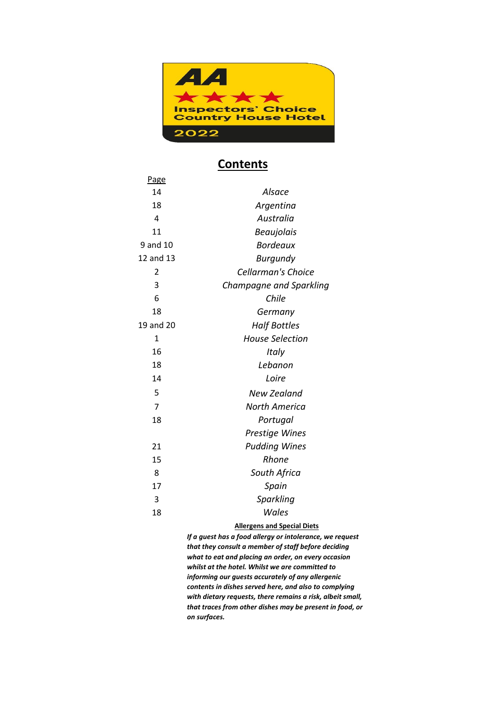

#### **Contents**

| Page           |                         |
|----------------|-------------------------|
| 14             | Alsace                  |
| 18             | Argentina               |
| 4              | Australia               |
| 11             | <b>Beaujolais</b>       |
| 9 and 10       | <b>Bordeaux</b>         |
| 12 and 13      | <b>Burgundy</b>         |
| 2              | Cellarman's Choice      |
| 3              | Champagne and Sparkling |
| 6              | Chile                   |
| 18             | Germany                 |
| 19 and 20      | <b>Half Bottles</b>     |
| 1              | <b>House Selection</b>  |
| 16             | Italy                   |
| 18             | Lebanon                 |
| 14             | Loire                   |
| 5              | New Zealand             |
| $\overline{7}$ | North America           |
| 18             | Portugal                |
|                | <b>Prestige Wines</b>   |
| 21             | <b>Pudding Wines</b>    |
| 15             | Rhone                   |
| 8              | South Africa            |
| 17             | Spain                   |
| 3              | Sparkling               |
| 18             | Wales                   |
|                |                         |

#### **Allergens and Special Diets**

*If a guest has a food allergy or intolerance, we request that they consult a member of staff before deciding what to eat and placing an order, on every occasion whilst at the hotel. Whilst we are committed to informing our guests accurately of any allergenic contents in dishes served here, and also to complying with dietary requests, there remains a risk, albeit small, that traces from other dishes may be present in food, or on surfaces.*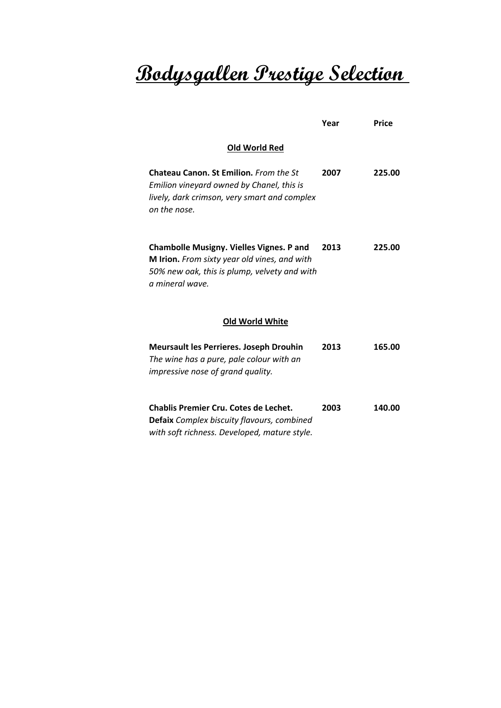# **Bodysgallen Prestige Selection**

|                                                                                                                                                                    | Year | <b>Price</b> |
|--------------------------------------------------------------------------------------------------------------------------------------------------------------------|------|--------------|
| Old World Red                                                                                                                                                      |      |              |
| Chateau Canon. St Emilion. From the St<br>Emilion vineyard owned by Chanel, this is<br>lively, dark crimson, very smart and complex<br>on the nose.                | 2007 | 225.00       |
| <b>Chambolle Musigny. Vielles Vignes. P and</b><br>M Irion. From sixty year old vines, and with<br>50% new oak, this is plump, velvety and with<br>a mineral wave. | 2013 | 225.00       |
| <b>Old World White</b>                                                                                                                                             |      |              |
| <b>Meursault les Perrieres. Joseph Drouhin</b><br>The wine has a pure, pale colour with an<br>impressive nose of grand quality.                                    | 2013 | 165.00       |
| <b>Chablis Premier Cru. Cotes de Lechet.</b><br>Defaix Complex biscuity flavours, combined<br>with soft richness. Developed, mature style.                         | 2003 | 140.00       |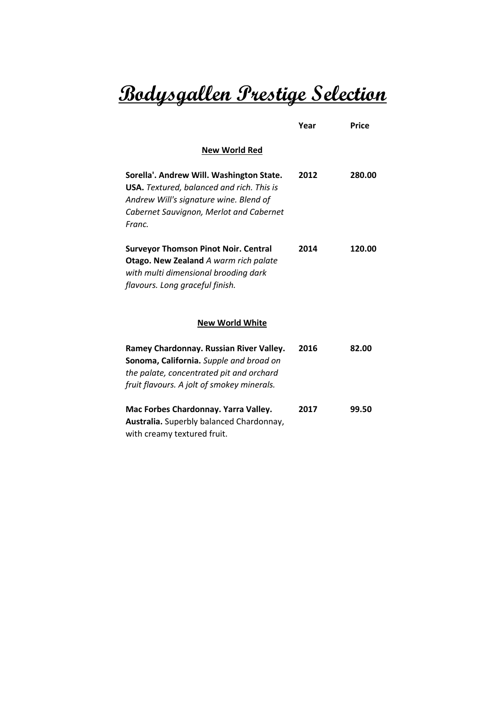# **Bodysgallen Prestige Selection**

|                                                                                                                                                                                             | Year | <b>Price</b> |
|---------------------------------------------------------------------------------------------------------------------------------------------------------------------------------------------|------|--------------|
| <b>New World Red</b>                                                                                                                                                                        |      |              |
| Sorella'. Andrew Will. Washington State.<br><b>USA.</b> Textured, balanced and rich. This is<br>Andrew Will's signature wine. Blend of<br>Cabernet Sauvignon, Merlot and Cabernet<br>Franc. | 2012 | 280.00       |
| <b>Surveyor Thomson Pinot Noir. Central</b><br>Otago. New Zealand A warm rich palate<br>with multi dimensional brooding dark<br>flavours. Long graceful finish.                             | 2014 | 120.00       |
| <b>New World White</b>                                                                                                                                                                      |      |              |
| Ramey Chardonnay. Russian River Valley.<br>Sonoma, California. Supple and broad on<br>the palate, concentrated pit and orchard<br>fruit flavours. A jolt of smokey minerals.                | 2016 | 82.00        |
| Mac Forbes Chardonnay. Yarra Valley.<br>Australia. Superbly balanced Chardonnay,<br>with creamy textured fruit.                                                                             | 2017 | 99.50        |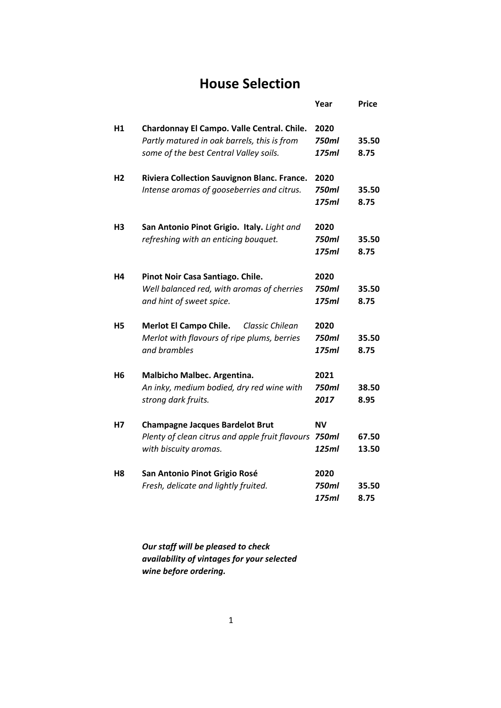### **House Selection**

|                |                                                                                                                                     | Year                          | <b>Price</b>   |
|----------------|-------------------------------------------------------------------------------------------------------------------------------------|-------------------------------|----------------|
| H1             | Chardonnay El Campo. Valle Central. Chile.<br>Partly matured in oak barrels, this is from<br>some of the best Central Valley soils. | 2020<br>750ml<br>175ml        | 35.50<br>8.75  |
| Н2             | Riviera Collection Sauvignon Blanc. France.<br>Intense aromas of gooseberries and citrus.                                           | 2020<br>750ml<br>175ml        | 35.50<br>8.75  |
| H3             | San Antonio Pinot Grigio. Italy. Light and<br>refreshing with an enticing bouquet.                                                  | 2020<br><b>750ml</b><br>175ml | 35.50<br>8.75  |
| Н4             | Pinot Noir Casa Santiago. Chile.<br>Well balanced red, with aromas of cherries<br>and hint of sweet spice.                          | 2020<br>750ml<br>175ml        | 35.50<br>8.75  |
| Η5             | <b>Merlot El Campo Chile.</b><br>Classic Chilean<br>Merlot with flavours of ripe plums, berries<br>and brambles                     | 2020<br>750ml<br>175ml        | 35.50<br>8.75  |
| Н6             | Malbicho Malbec. Argentina.<br>An inky, medium bodied, dry red wine with<br>strong dark fruits.                                     | 2021<br>750ml<br>2017         | 38.50<br>8.95  |
| Н7             | <b>Champagne Jacques Bardelot Brut</b><br>Plenty of clean citrus and apple fruit flavours<br>with biscuity aromas.                  | <b>NV</b><br>750ml<br>125ml   | 67.50<br>13.50 |
| H <sub>8</sub> | San Antonio Pinot Grigio Rosé<br>Fresh, delicate and lightly fruited.                                                               | 2020<br>750ml<br>175ml        | 35.50<br>8.75  |

*Our staff will be pleased to check availability of vintages for your selected wine before ordering.*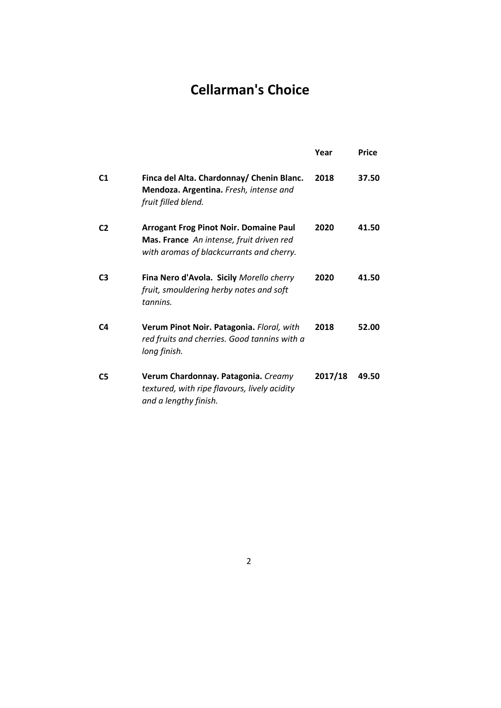## **Cellarman's Choice**

|                |                                                                                                                                       | Year    | Price |
|----------------|---------------------------------------------------------------------------------------------------------------------------------------|---------|-------|
| C <sub>1</sub> | Finca del Alta. Chardonnay/ Chenin Blanc.<br>Mendoza. Argentina. Fresh, intense and<br>fruit filled blend.                            | 2018    | 37.50 |
| C <sub>2</sub> | <b>Arrogant Frog Pinot Noir. Domaine Paul</b><br>Mas. France An intense, fruit driven red<br>with aromas of blackcurrants and cherry. | 2020    | 41.50 |
| C <sub>3</sub> | Fina Nero d'Avola. Sicily Morello cherry<br>fruit, smouldering herby notes and soft<br>tannins.                                       | 2020    | 41.50 |
| C4             | Verum Pinot Noir. Patagonia. Floral, with<br>red fruits and cherries. Good tannins with a<br>long finish.                             | 2018    | 52.00 |
| C <sub>5</sub> | Verum Chardonnay. Patagonia. Creamy<br>textured, with ripe flavours, lively acidity<br>and a lengthy finish.                          | 2017/18 | 49.50 |

2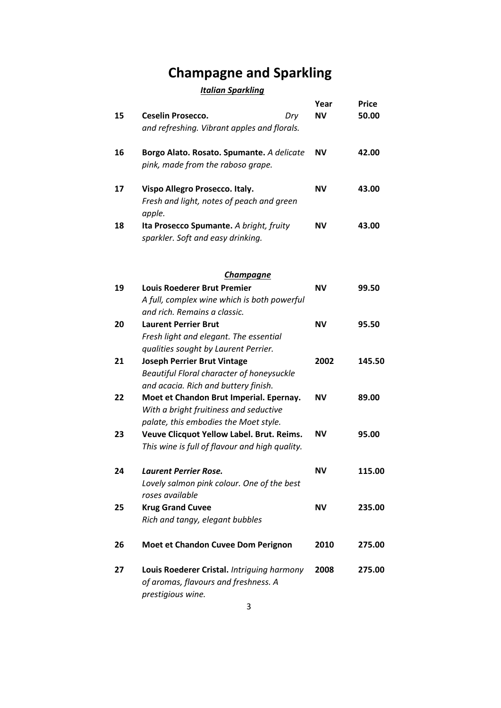## **Champagne and Sparkling**

#### *Italian Sparkling*

|    |                                                     | Year      | <b>Price</b> |
|----|-----------------------------------------------------|-----------|--------------|
| 15 | <b>Ceselin Prosecco.</b><br>Dry                     | <b>NV</b> | 50.00        |
|    | and refreshing. Vibrant apples and florals.         |           |              |
| 16 | Borgo Alato. Rosato. Spumante. A delicate           | <b>NV</b> | 42.00        |
|    | pink, made from the raboso grape.                   |           |              |
| 17 | Vispo Allegro Prosecco. Italy.                      | <b>NV</b> | 43.00        |
|    | Fresh and light, notes of peach and green<br>apple. |           |              |
| 18 | Ita Prosecco Spumante. A bright, fruity             | <b>NV</b> | 43.00        |
|    | sparkler. Soft and easy drinking.                   |           |              |
|    | <b>Champagne</b>                                    |           |              |
| 19 | <b>Louis Roederer Brut Premier</b>                  | <b>NV</b> | 99.50        |
|    | A full, complex wine which is both powerful         |           |              |
|    | and rich. Remains a classic.                        |           |              |
| 20 | <b>Laurent Perrier Brut</b>                         | <b>NV</b> | 95.50        |
|    | Fresh light and elegant. The essential              |           |              |
|    | qualities sought by Laurent Perrier.                |           |              |
| 21 | <b>Joseph Perrier Brut Vintage</b>                  | 2002      | 145.50       |
|    | Beautiful Floral character of honeysuckle           |           |              |
|    | and acacia. Rich and buttery finish.                |           |              |
| 22 | Moet et Chandon Brut Imperial. Epernay.             | <b>NV</b> | 89.00        |
|    | With a bright fruitiness and seductive              |           |              |
|    | palate, this embodies the Moet style.               |           |              |
| 23 | Veuve Clicquot Yellow Label. Brut. Reims.           | <b>NV</b> | 95.00        |
|    | This wine is full of flavour and high quality.      |           |              |
| 24 | <b>Laurent Perrier Rose.</b>                        | NN.       | 115.00       |
|    | Lovely salmon pink colour. One of the best          |           |              |
|    | roses available                                     |           |              |
| 25 | <b>Krug Grand Cuvee</b>                             | <b>NV</b> | 235.00       |
|    | Rich and tangy, elegant bubbles                     |           |              |
| 26 | Moet et Chandon Cuvee Dom Perignon                  | 2010      | 275.00       |
| 27 | Louis Roederer Cristal. Intriguing harmony          | 2008      | 275.00       |
|    | of aromas, flavours and freshness. A                |           |              |
|    | prestigious wine.                                   |           |              |
|    |                                                     |           |              |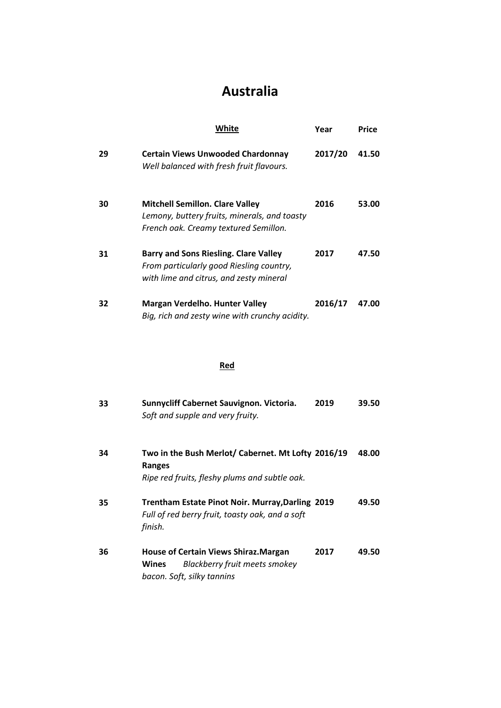### **Australia**

|    | White                                                                                                                           | Year    | Price |
|----|---------------------------------------------------------------------------------------------------------------------------------|---------|-------|
| 29 | <b>Certain Views Unwooded Chardonnay</b><br>Well balanced with fresh fruit flavours.                                            | 2017/20 | 41.50 |
| 30 | <b>Mitchell Semillon. Clare Valley</b><br>Lemony, buttery fruits, minerals, and toasty<br>French oak. Creamy textured Semillon. | 2016    | 53.00 |
| 31 | Barry and Sons Riesling. Clare Valley<br>From particularly good Riesling country,<br>with lime and citrus, and zesty mineral    | 2017    | 47.50 |
| 32 | <b>Margan Verdelho. Hunter Valley</b><br>Big, rich and zesty wine with crunchy acidity.                                         | 2016/17 | 47.00 |

#### **Red**

| 33 | Sunnycliff Cabernet Sauvignon. Victoria.<br>Soft and supple and very fruity.                                                       | 2019 | 39.50 |
|----|------------------------------------------------------------------------------------------------------------------------------------|------|-------|
| 34 | Two in the Bush Merlot/ Cabernet. Mt Lofty 2016/19<br><b>Ranges</b><br>Ripe red fruits, fleshy plums and subtle oak.               |      | 48.00 |
| 35 | Trentham Estate Pinot Noir. Murray, Darling 2019<br>Full of red berry fruit, toasty oak, and a soft<br>finish.                     |      | 49.50 |
| 36 | <b>House of Certain Views Shiraz. Margan</b><br><b>Blackberry fruit meets smokey</b><br><b>Wines</b><br>bacon. Soft, silky tannins | 2017 | 49.50 |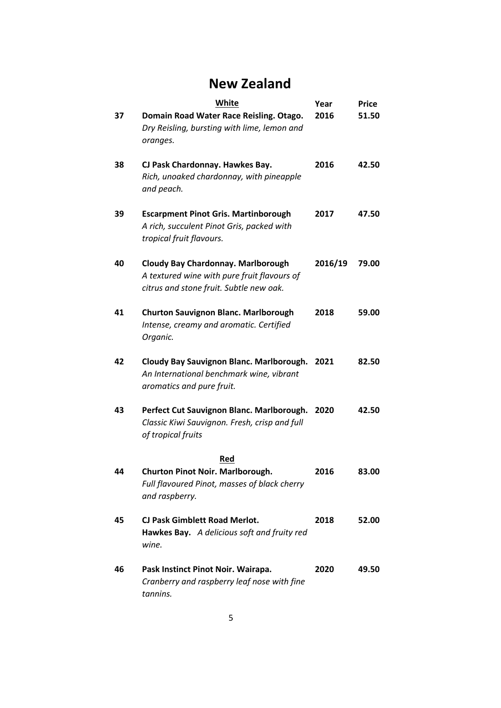### **New Zealand**

|    | <b>White</b>                                                                                                                        | Year    | <b>Price</b> |
|----|-------------------------------------------------------------------------------------------------------------------------------------|---------|--------------|
| 37 | Domain Road Water Race Reisling. Otago.<br>Dry Reisling, bursting with lime, lemon and<br>oranges.                                  | 2016    | 51.50        |
| 38 | CJ Pask Chardonnay. Hawkes Bay.<br>Rich, unoaked chardonnay, with pineapple<br>and peach.                                           | 2016    | 42.50        |
| 39 | <b>Escarpment Pinot Gris. Martinborough</b><br>A rich, succulent Pinot Gris, packed with<br>tropical fruit flavours.                | 2017    | 47.50        |
| 40 | <b>Cloudy Bay Chardonnay. Marlborough</b><br>A textured wine with pure fruit flavours of<br>citrus and stone fruit. Subtle new oak. | 2016/19 | 79.00        |
| 41 | <b>Churton Sauvignon Blanc. Marlborough</b><br>Intense, creamy and aromatic. Certified<br>Organic.                                  | 2018    | 59.00        |
| 42 | Cloudy Bay Sauvignon Blanc. Marlborough.<br>An International benchmark wine, vibrant<br>aromatics and pure fruit.                   | 2021    | 82.50        |
| 43 | Perfect Cut Sauvignon Blanc. Marlborough.<br>Classic Kiwi Sauvignon. Fresh, crisp and full<br>of tropical fruits                    | 2020    | 42.50        |
| 44 | Red<br>Churton Pinot Noir. Marlborough.<br>Full flavoured Pinot, masses of black cherry<br>and raspberry.                           | 2016    | 83.00        |
| 45 | CJ Pask Gimblett Road Merlot.<br>Hawkes Bay. A delicious soft and fruity red<br>wine.                                               | 2018    | 52.00        |
| 46 | Pask Instinct Pinot Noir. Wairapa.<br>Cranberry and raspberry leaf nose with fine<br>tannins.                                       | 2020    | 49.50        |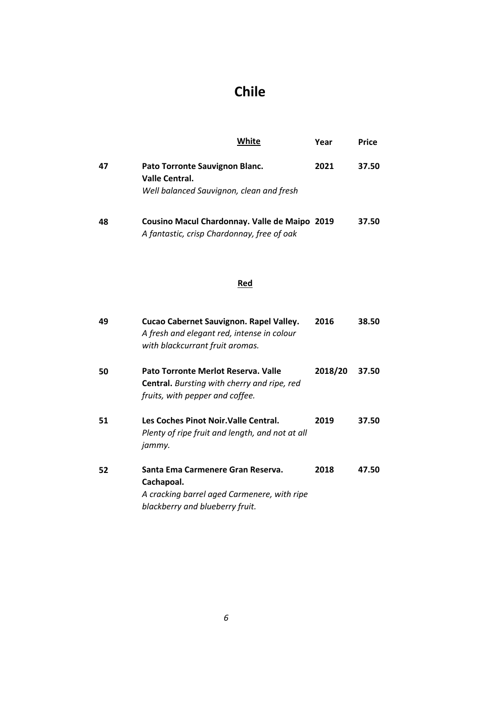## **Chile**

|    | White                                                                                        | Year | Price |
|----|----------------------------------------------------------------------------------------------|------|-------|
| 47 | Pato Torronte Sauvignon Blanc.<br>Valle Central.<br>Well balanced Sauvignon, clean and fresh | 2021 | 37.50 |
| 48 | Cousino Macul Chardonnay. Valle de Maipo 2019<br>A fantastic, crisp Chardonnay, free of oak  |      | 37.50 |

#### **Red**

| 49 | Cucao Cabernet Sauvignon. Rapel Valley.<br>A fresh and elegant red, intense in colour<br>with blackcurrant fruit aromas.          | 2016    | 38.50 |
|----|-----------------------------------------------------------------------------------------------------------------------------------|---------|-------|
| 50 | Pato Torronte Merlot Reserva. Valle<br><b>Central.</b> Bursting with cherry and ripe, red<br>fruits, with pepper and coffee.      | 2018/20 | 37.50 |
| 51 | Les Coches Pinot Noir. Valle Central.<br>Plenty of ripe fruit and length, and not at all<br>jammy.                                | 2019    | 37.50 |
| 52 | Santa Ema Carmenere Gran Reserva.<br>Cachapoal.<br>A cracking barrel aged Carmenere, with ripe<br>blackberry and blueberry fruit. | 2018    | 47.50 |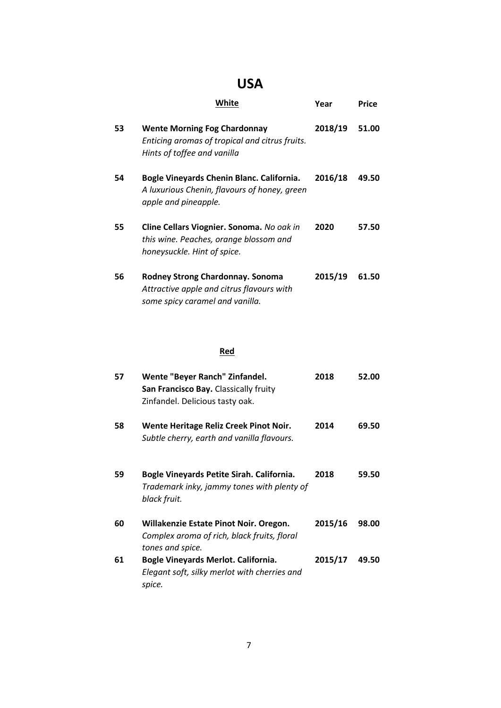## **USA**

|    | White                                                                                                                   | Year    | Price |
|----|-------------------------------------------------------------------------------------------------------------------------|---------|-------|
| 53 | <b>Wente Morning Fog Chardonnay</b><br>Enticing aromas of tropical and citrus fruits.<br>Hints of toffee and vanilla    | 2018/19 | 51.00 |
| 54 | Bogle Vineyards Chenin Blanc. California.<br>A luxurious Chenin, flavours of honey, green<br>apple and pineapple.       | 2016/18 | 49.50 |
| 55 | Cline Cellars Viognier. Sonoma. No oak in<br>this wine. Peaches, orange blossom and<br>honeysuckle. Hint of spice.      | 2020    | 57.50 |
| 56 | <b>Rodney Strong Chardonnay. Sonoma</b><br>Attractive apple and citrus flavours with<br>some spicy caramel and vanilla. | 2015/19 | 61.50 |

#### **Red**

| 57 | Wente "Beyer Ranch" Zinfandel.<br>San Francisco Bay. Classically fruity<br>Zinfandel. Delicious tasty oak. | 2018    | 52.00 |
|----|------------------------------------------------------------------------------------------------------------|---------|-------|
| 58 | Wente Heritage Reliz Creek Pinot Noir.<br>Subtle cherry, earth and vanilla flavours.                       | 2014    | 69.50 |
| 59 | Bogle Vineyards Petite Sirah. California.<br>Trademark inky, jammy tones with plenty of<br>black fruit.    | 2018    | 59.50 |
| 60 | Willakenzie Estate Pinot Noir. Oregon.<br>Complex aroma of rich, black fruits, floral<br>tones and spice.  | 2015/16 | 98.00 |
| 61 | Bogle Vineyards Merlot. California.<br>Elegant soft, silky merlot with cherries and<br>spice.              | 2015/17 | 49.50 |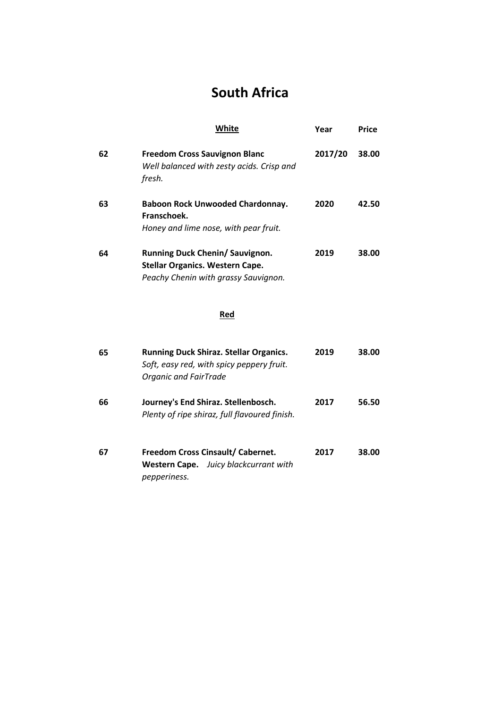## **South Africa**

|    | White                                                                                                                      | Year    | <b>Price</b> |
|----|----------------------------------------------------------------------------------------------------------------------------|---------|--------------|
| 62 | <b>Freedom Cross Sauvignon Blanc</b><br>Well balanced with zesty acids. Crisp and<br>fresh.                                | 2017/20 | 38.00        |
| 63 | <b>Baboon Rock Unwooded Chardonnay.</b><br>Franschoek.<br>Honey and lime nose, with pear fruit.                            | 2020    | 42.50        |
| 64 | Running Duck Chenin/ Sauvignon.<br><b>Stellar Organics. Western Cape.</b><br>Peachy Chenin with grassy Sauvignon.          | 2019    | 38.00        |
|    | Red                                                                                                                        |         |              |
| 65 | <b>Running Duck Shiraz. Stellar Organics.</b><br>Soft, easy red, with spicy peppery fruit.<br><b>Organic and FairTrade</b> | 2019    | 38.00        |
| 66 | Journey's End Shiraz. Stellenbosch.<br>Plenty of ripe shiraz, full flavoured finish.                                       | 2017    | 56.50        |
| 67 | Freedom Cross Cinsault/ Cabernet.<br>Juicy blackcurrant with<br>Western Cape.<br>pepperiness.                              | 2017    | 38.00        |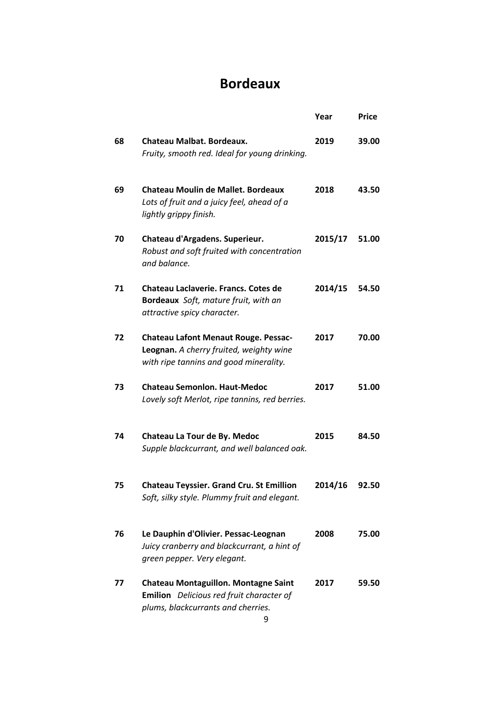#### **Bordeaux**

|    |                                                                                                                                           | Year    | <b>Price</b> |
|----|-------------------------------------------------------------------------------------------------------------------------------------------|---------|--------------|
| 68 | Chateau Malbat. Bordeaux.<br>Fruity, smooth red. Ideal for young drinking.                                                                | 2019    | 39.00        |
| 69 | <b>Chateau Moulin de Mallet. Bordeaux</b><br>Lots of fruit and a juicy feel, ahead of a<br>lightly grippy finish.                         | 2018    | 43.50        |
| 70 | Chateau d'Argadens. Superieur.<br>Robust and soft fruited with concentration<br>and balance.                                              | 2015/17 | 51.00        |
| 71 | Chateau Laclaverie. Francs. Cotes de<br>Bordeaux Soft, mature fruit, with an<br>attractive spicy character.                               | 2014/15 | 54.50        |
| 72 | <b>Chateau Lafont Menaut Rouge. Pessac-</b><br>Leognan. A cherry fruited, weighty wine<br>with ripe tannins and good minerality.          | 2017    | 70.00        |
| 73 | <b>Chateau Semonion. Haut-Medoc</b><br>Lovely soft Merlot, ripe tannins, red berries.                                                     | 2017    | 51.00        |
| 74 | Chateau La Tour de By. Medoc<br>Supple blackcurrant, and well balanced oak.                                                               | 2015    | 84.50        |
| 75 | <b>Chateau Teyssier. Grand Cru. St Emillion</b><br>Soft, silky style. Plummy fruit and elegant.                                           | 2014/16 | 92.50        |
| 76 | Le Dauphin d'Olivier. Pessac-Leognan<br>Juicy cranberry and blackcurrant, a hint of<br>green pepper. Very elegant.                        | 2008    | 75.00        |
| 77 | <b>Chateau Montaguillon. Montagne Saint</b><br><b>Emilion</b> Delicious red fruit character of<br>plums, blackcurrants and cherries.<br>9 | 2017    | 59.50        |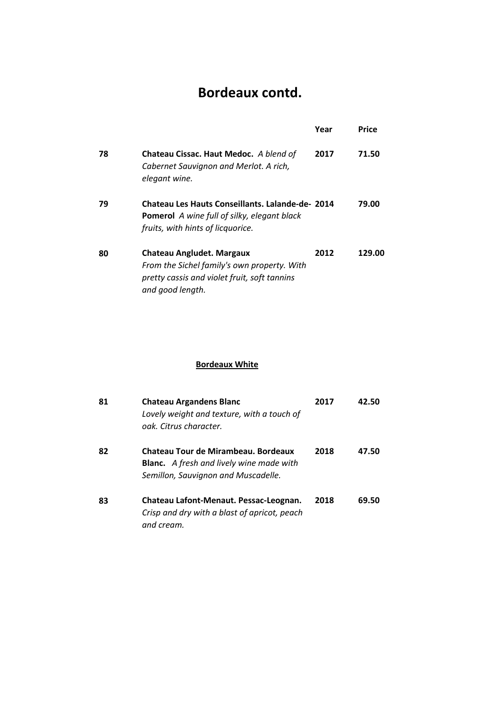## **Bordeaux contd.**

|    |                                                                                                                                                    | Year | Price  |
|----|----------------------------------------------------------------------------------------------------------------------------------------------------|------|--------|
| 78 | Chateau Cissac. Haut Medoc. A blend of<br>Cabernet Sauvignon and Merlot. A rich,<br>elegant wine.                                                  | 2017 | 71.50  |
| 79 | <b>Chateau Les Hauts Conseillants, Lalande-de- 2014</b><br><b>Pomerol</b> A wine full of silky, elegant black<br>fruits, with hints of licquorice. |      | 79.00  |
| 80 | Chateau Angludet. Margaux<br>From the Sichel family's own property. With<br>pretty cassis and violet fruit, soft tannins<br>and good length.       | 2012 | 129.00 |

#### **Bordeaux White**

| 81 | <b>Chateau Argandens Blanc</b><br>Lovely weight and texture, with a touch of<br>oak. Citrus character.                        | 2017 | 42.50 |
|----|-------------------------------------------------------------------------------------------------------------------------------|------|-------|
| 82 | Chateau Tour de Mirambeau. Bordeaux<br><b>Blanc.</b> A fresh and lively wine made with<br>Semillon, Sauvignon and Muscadelle. | 2018 | 47.50 |
| 83 | Chateau Lafont-Menaut. Pessac-Leognan.<br>Crisp and dry with a blast of apricot, peach<br>and cream.                          | 2018 | 69.50 |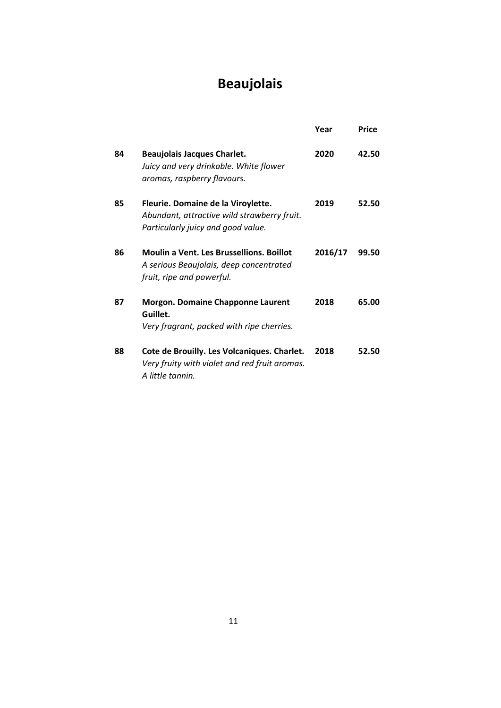## **Beaujolais**

|    |                                                                                                                         | Year    | Price |
|----|-------------------------------------------------------------------------------------------------------------------------|---------|-------|
| 84 | <b>Beaujolais Jacques Charlet.</b><br>Juicy and very drinkable. White flower<br>aromas, raspberry flavours.             | 2020    | 42.50 |
| 85 | Fleurie. Domaine de la Viroylette.<br>Abundant, attractive wild strawberry fruit.<br>Particularly juicy and good value. | 2019    | 52.50 |
| 86 | <b>Moulin a Vent. Les Brussellions. Boillot</b><br>A serious Beaujolais, deep concentrated<br>fruit, ripe and powerful. | 2016/17 | 99.50 |
| 87 | <b>Morgon. Domaine Chapponne Laurent</b><br>Guillet.<br>Very fragrant, packed with ripe cherries.                       | 2018    | 65.00 |
| 88 | Cote de Brouilly. Les Volcaniques. Charlet.<br>Very fruity with violet and red fruit aromas.<br>A little tannin.        | 2018    | 52.50 |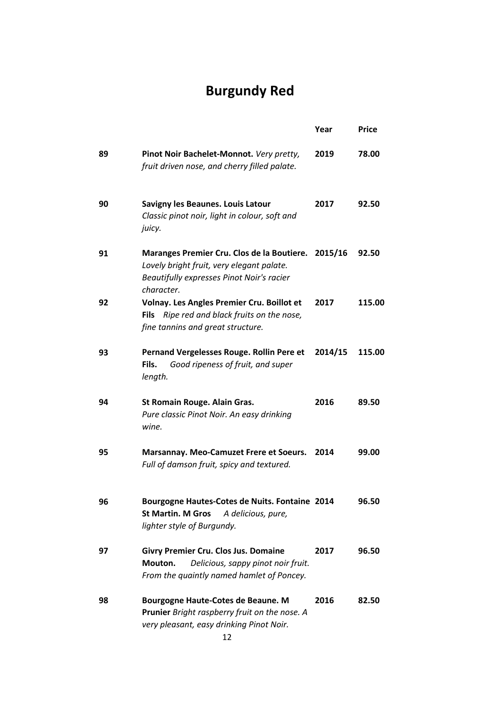## **Burgundy Red**

|    |                                                                                                                                                    | Year    | <b>Price</b> |
|----|----------------------------------------------------------------------------------------------------------------------------------------------------|---------|--------------|
| 89 | Pinot Noir Bachelet-Monnot. Very pretty,<br>fruit driven nose, and cherry filled palate.                                                           | 2019    | 78.00        |
| 90 | Savigny les Beaunes. Louis Latour<br>Classic pinot noir, light in colour, soft and<br>juicy.                                                       | 2017    | 92.50        |
| 91 | Maranges Premier Cru. Clos de la Boutiere.<br>Lovely bright fruit, very elegant palate.<br>Beautifully expresses Pinot Noir's racier<br>character. | 2015/16 | 92.50        |
| 92 | Volnay. Les Angles Premier Cru. Boillot et<br>Ripe red and black fruits on the nose,<br><b>Fils</b><br>fine tannins and great structure.           | 2017    | 115.00       |
| 93 | Pernand Vergelesses Rouge. Rollin Pere et<br>Good ripeness of fruit, and super<br>Fils.<br>length.                                                 | 2014/15 | 115.00       |
| 94 | <b>St Romain Rouge. Alain Gras.</b><br>Pure classic Pinot Noir. An easy drinking<br>wine.                                                          | 2016    | 89.50        |
| 95 | Marsannay. Meo-Camuzet Frere et Soeurs.<br>Full of damson fruit, spicy and textured.                                                               | 2014    | 99.00        |
| 96 | Bourgogne Hautes-Cotes de Nuits. Fontaine 2014<br><b>St Martin. M Gros</b><br>A delicious, pure,<br>lighter style of Burgundy.                     |         | 96.50        |
| 97 | <b>Givry Premier Cru. Clos Jus. Domaine</b><br>Delicious, sappy pinot noir fruit.<br>Mouton.<br>From the quaintly named hamlet of Poncey.          | 2017    | 96.50        |
| 98 | Bourgogne Haute-Cotes de Beaune. M<br>Prunier Bright raspberry fruit on the nose. A<br>very pleasant, easy drinking Pinot Noir.<br>12              | 2016    | 82.50        |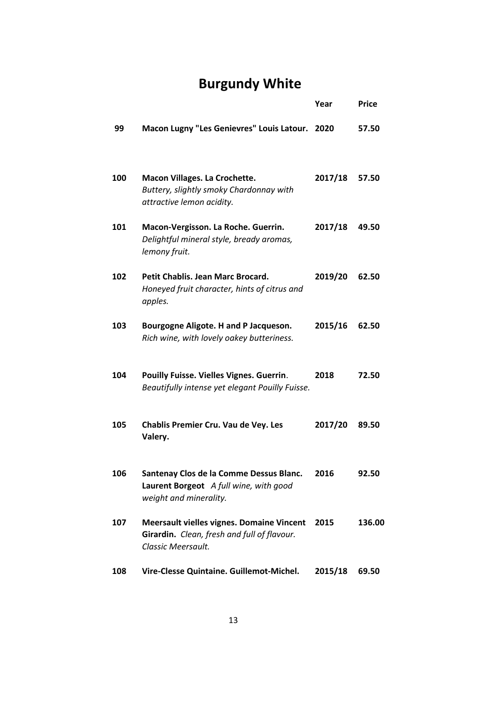## **Burgundy White**

**Year Price**

| 99  | Macon Lugny "Les Genievres" Louis Latour. 2020                                                                        |         | 57.50  |
|-----|-----------------------------------------------------------------------------------------------------------------------|---------|--------|
| 100 | Macon Villages. La Crochette.<br>Buttery, slightly smoky Chardonnay with<br>attractive lemon acidity.                 | 2017/18 | 57.50  |
| 101 | Macon-Vergisson. La Roche. Guerrin.<br>Delightful mineral style, bready aromas,<br>lemony fruit.                      | 2017/18 | 49.50  |
| 102 | Petit Chablis. Jean Marc Brocard.<br>Honeyed fruit character, hints of citrus and<br>apples.                          | 2019/20 | 62.50  |
| 103 | Bourgogne Aligote. H and P Jacqueson.<br>Rich wine, with lovely oakey butteriness.                                    | 2015/16 | 62.50  |
| 104 | Pouilly Fuisse. Vielles Vignes. Guerrin.<br>Beautifully intense yet elegant Pouilly Fuisse.                           | 2018    | 72.50  |
| 105 | Chablis Premier Cru. Vau de Vey. Les<br>Valery.                                                                       | 2017/20 | 89.50  |
| 106 | Santenay Clos de la Comme Dessus Blanc.<br>Laurent Borgeot A full wine, with good<br>weight and minerality.           | 2016    | 92.50  |
| 107 | <b>Meersault vielles vignes. Domaine Vincent</b><br>Girardin. Clean, fresh and full of flavour.<br>Classic Meersault. | 2015    | 136.00 |
| 108 | Vire-Clesse Quintaine. Guillemot-Michel.                                                                              | 2015/18 | 69.50  |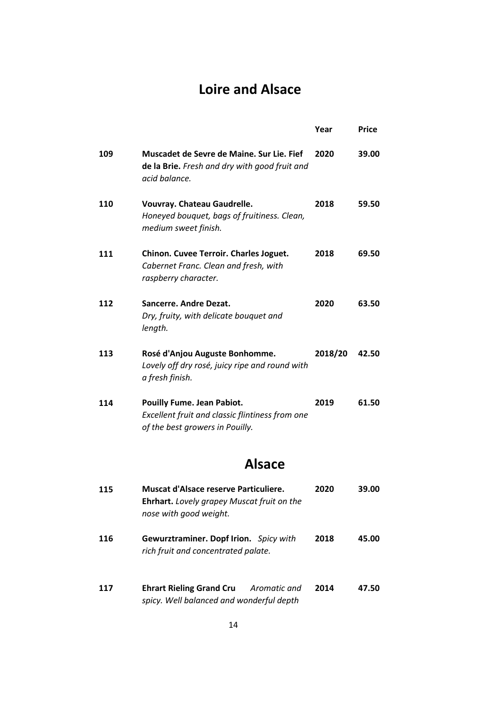#### **Loire and Alsace**

|     |                                                                                                                         | Year    | Price |
|-----|-------------------------------------------------------------------------------------------------------------------------|---------|-------|
| 109 | Muscadet de Sevre de Maine. Sur Lie. Fief<br>de la Brie. Fresh and dry with good fruit and<br>acid balance.             | 2020    | 39.00 |
| 110 | Vouvray. Chateau Gaudrelle.<br>Honeyed bouquet, bags of fruitiness. Clean,<br>medium sweet finish.                      | 2018    | 59.50 |
| 111 | Chinon. Cuvee Terroir. Charles Joguet.<br>Cabernet Franc. Clean and fresh, with<br>raspberry character.                 | 2018    | 69.50 |
| 112 | Sancerre. Andre Dezat.<br>Dry, fruity, with delicate bouquet and<br>length.                                             | 2020    | 63.50 |
| 113 | Rosé d'Anjou Auguste Bonhomme.<br>Lovely off dry rosé, juicy ripe and round with<br>a fresh finish.                     | 2018/20 | 42.50 |
| 114 | <b>Pouilly Fume. Jean Pabiot.</b><br>Excellent fruit and classic flintiness from one<br>of the best growers in Pouilly. | 2019    | 61.50 |
|     | <b>Alsace</b>                                                                                                           |         |       |
| 115 | Muscat d'Alsace reserve Particuliere.<br>Ehrhart. Lovely grapey Muscat fruit on the<br>nose with good weight.           | 2020    | 39.00 |
| 116 | Gewurztraminer. Dopf Irion. Spicy with                                                                                  | 2018    | 45.00 |

**117 2014 47.50 Ehrart Rieling Grand Cru** *Aromatic and spicy. Well balanced and wonderful depth*

*rich fruit and concentrated palate.*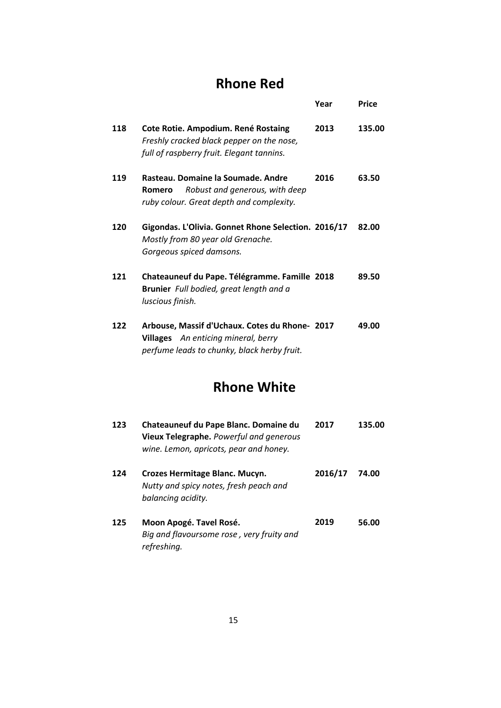### **Rhone Red**

|     |                                                                                                                                             | Year | Price  |
|-----|---------------------------------------------------------------------------------------------------------------------------------------------|------|--------|
| 118 | Cote Rotie. Ampodium. René Rostaing<br>Freshly cracked black pepper on the nose,<br>full of raspberry fruit. Elegant tannins.               | 2013 | 135.00 |
| 119 | Rasteau. Domaine la Soumade. Andre<br>Robust and generous, with deep<br>Romero<br>ruby colour. Great depth and complexity.                  | 2016 | 63.50  |
| 120 | Gigondas. L'Olivia. Gonnet Rhone Selection. 2016/17<br>Mostly from 80 year old Grenache.<br>Gorgeous spiced damsons.                        |      | 82.00  |
| 121 | Chateauneuf du Pape. Télégramme. Famille 2018<br>Brunier Full bodied, great length and a<br>luscious finish.                                |      | 89.50  |
| 122 | Arbouse, Massif d'Uchaux. Cotes du Rhone- 2017<br><b>Villages</b> An enticing mineral, berry<br>perfume leads to chunky, black herby fruit. |      | 49.00  |

### **Rhone White**

| 123 | Chateauneuf du Pape Blanc. Domaine du<br>Vieux Telegraphe. Powerful and generous<br>wine. Lemon, apricots, pear and honey. | 2017    | 135.00 |
|-----|----------------------------------------------------------------------------------------------------------------------------|---------|--------|
| 124 | Crozes Hermitage Blanc. Mucyn.<br>Nutty and spicy notes, fresh peach and<br>balancing acidity.                             | 2016/17 | 74.00  |
| 125 | Moon Apogé. Tavel Rosé.<br>Big and flavoursome rose, very fruity and<br>refreshing.                                        | 2019    | 56.00  |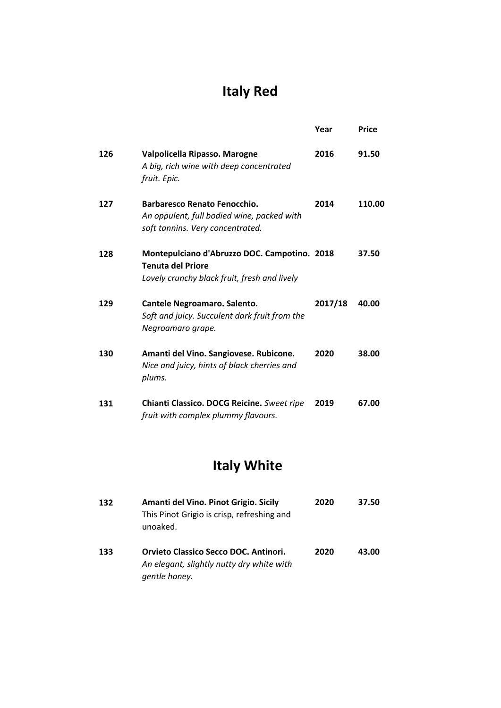## **Italy Red**

|     |                                                                                                                          | Year    | Price  |
|-----|--------------------------------------------------------------------------------------------------------------------------|---------|--------|
| 126 | Valpolicella Ripasso. Marogne<br>A big, rich wine with deep concentrated<br>fruit. Epic.                                 | 2016    | 91.50  |
| 127 | Barbaresco Renato Fenocchio.<br>An oppulent, full bodied wine, packed with<br>soft tannins. Very concentrated.           | 2014    | 110.00 |
| 128 | Montepulciano d'Abruzzo DOC. Campotino. 2018<br><b>Tenuta del Priore</b><br>Lovely crunchy black fruit, fresh and lively |         | 37.50  |
| 129 | Cantele Negroamaro. Salento.<br>Soft and juicy. Succulent dark fruit from the<br>Negroamaro grape.                       | 2017/18 | 40.00  |
| 130 | Amanti del Vino. Sangiovese. Rubicone.<br>Nice and juicy, hints of black cherries and<br>plums.                          | 2020    | 38.00  |
| 131 | Chianti Classico. DOCG Reicine. Sweet ripe<br>fruit with complex plummy flavours.                                        | 2019    | 67.00  |

## **Italy White**

| 132 | Amanti del Vino. Pinot Grigio. Sicily<br>This Pinot Grigio is crisp, refreshing and<br>unoaked.     | 2020 | 37.50 |
|-----|-----------------------------------------------------------------------------------------------------|------|-------|
| 133 | Orvieto Classico Secco DOC. Antinori.<br>An elegant, slightly nutty dry white with<br>gentle honey. | 2020 | 43.00 |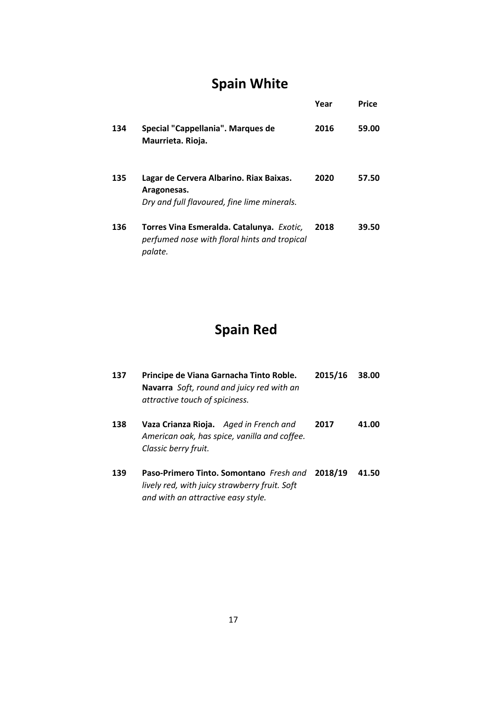## **Spain White**

|     |                                                                                                       | Year | Price |
|-----|-------------------------------------------------------------------------------------------------------|------|-------|
| 134 | Special "Cappellania". Marques de<br>Maurrieta. Rioja.                                                | 2016 | 59.00 |
| 135 | Lagar de Cervera Albarino. Riax Baixas.<br>Aragonesas.<br>Dry and full flavoured, fine lime minerals. | 2020 | 57.50 |
| 136 | Torres Vina Esmeralda. Catalunya. Exotic,<br>perfumed nose with floral hints and tropical<br>palate.  | 2018 | 39.50 |

## **Spain Red**

| 137 | Principe de Viana Garnacha Tinto Roble.<br>Navarra Soft, round and juicy red with an<br>attractive touch of spiciness.                 | 2015/16 | 38.00 |
|-----|----------------------------------------------------------------------------------------------------------------------------------------|---------|-------|
| 138 | Vaza Crianza Rioja. Aged in French and<br>American oak, has spice, vanilla and coffee.<br>Classic berry fruit.                         | 2017    | 41.00 |
| 139 | Paso-Primero Tinto. Somontano Fresh and 2018/19<br>lively red, with juicy strawberry fruit. Soft<br>and with an attractive easy style. |         | 41.50 |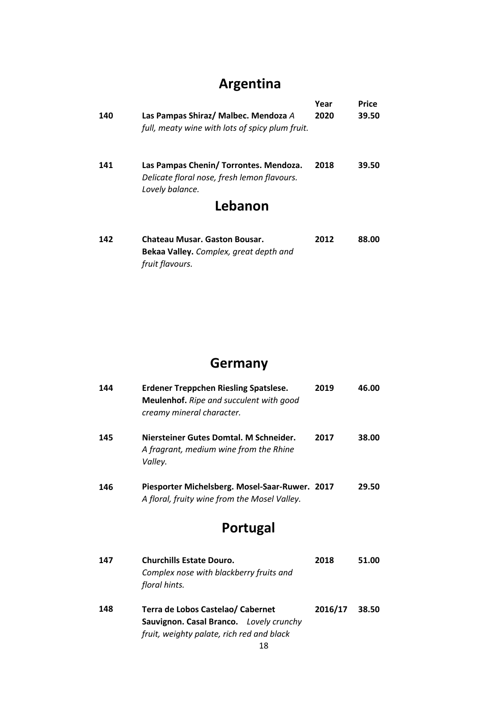## **Argentina**

| 140 | Las Pampas Shiraz/ Malbec. Mendoza A                                                                                | Year | Price |
|-----|---------------------------------------------------------------------------------------------------------------------|------|-------|
|     | full, meaty wine with lots of spicy plum fruit.                                                                     | 2020 | 39.50 |
| 141 | Las Pampas Chenin/ Torrontes. Mendoza.<br>Delicate floral nose, fresh lemon flavours.<br>Lovely balance.<br>Lebanon | 2018 | 39.50 |

| 142 | <b>Chateau Musar. Gaston Bousar.</b>   | 2012 | 88.00 |
|-----|----------------------------------------|------|-------|
|     | Bekaa Valley. Complex, great depth and |      |       |
|     | fruit flavours.                        |      |       |

### **Germany**

| 144 | <b>Erdener Treppchen Riesling Spatslese.</b><br><b>Meulenhof.</b> Ripe and succulent with good<br>creamy mineral character. | 2019    | 46.00 |
|-----|-----------------------------------------------------------------------------------------------------------------------------|---------|-------|
| 145 | Niersteiner Gutes Domtal. M Schneider.<br>A fragrant, medium wine from the Rhine<br>Valley.                                 | 2017    | 38.00 |
| 146 | Piesporter Michelsberg. Mosel-Saar-Ruwer. 2017<br>A floral, fruity wine from the Mosel Valley.                              |         | 29.50 |
|     | Portugal                                                                                                                    |         |       |
| 147 | <b>Churchills Estate Douro.</b><br>Complex nose with blackberry fruits and<br>floral hints.                                 | 2018    | 51.00 |
| 148 | Terra de Lobos Castelao/ Cabernet<br>Sauvignon. Casal Branco. Lovely crunchy<br>fruit, weighty palate, rich red and black   | 2016/17 | 38.50 |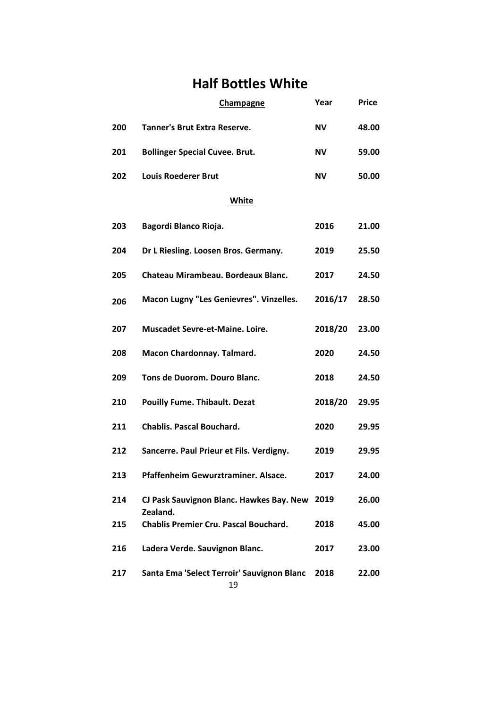### **Half Bottles White**

|     | Champagne                                            | Year    | <b>Price</b> |
|-----|------------------------------------------------------|---------|--------------|
| 200 | <b>Tanner's Brut Extra Reserve.</b>                  | NV.     | 48.00        |
| 201 | <b>Bollinger Special Cuvee. Brut.</b>                | NV.     | 59.00        |
| 202 | <b>Louis Roederer Brut</b>                           | NV.     | 50.00        |
|     | White                                                |         |              |
| 203 | Bagordi Blanco Rioja.                                | 2016    | 21.00        |
| 204 | Dr L Riesling. Loosen Bros. Germany.                 | 2019    | 25.50        |
| 205 | Chateau Mirambeau. Bordeaux Blanc.                   | 2017    | 24.50        |
| 206 | Macon Lugny "Les Genievres". Vinzelles.              | 2016/17 | 28.50        |
| 207 | <b>Muscadet Sevre-et-Maine, Loire.</b>               | 2018/20 | 23.00        |
| 208 | Macon Chardonnay. Talmard.                           | 2020    | 24.50        |
| 209 | Tons de Duorom. Douro Blanc.                         | 2018    | 24.50        |
| 210 | <b>Pouilly Fume. Thibault. Dezat</b>                 | 2018/20 | 29.95        |
| 211 | <b>Chablis. Pascal Bouchard.</b>                     | 2020    | 29.95        |
| 212 | Sancerre. Paul Prieur et Fils. Verdigny.             | 2019    | 29.95        |
| 213 | Pfaffenheim Gewurztraminer. Alsace.                  | 2017    | 24.00        |
| 214 | CJ Pask Sauvignon Blanc. Hawkes Bay. New<br>Zealand. | 2019    | 26.00        |
| 215 | <b>Chablis Premier Cru. Pascal Bouchard.</b>         | 2018    | 45.00        |
| 216 | Ladera Verde. Sauvignon Blanc.                       | 2017    | 23.00        |
| 217 | Santa Ema 'Select Terroir' Sauvignon Blanc           | 2018    | 22.00        |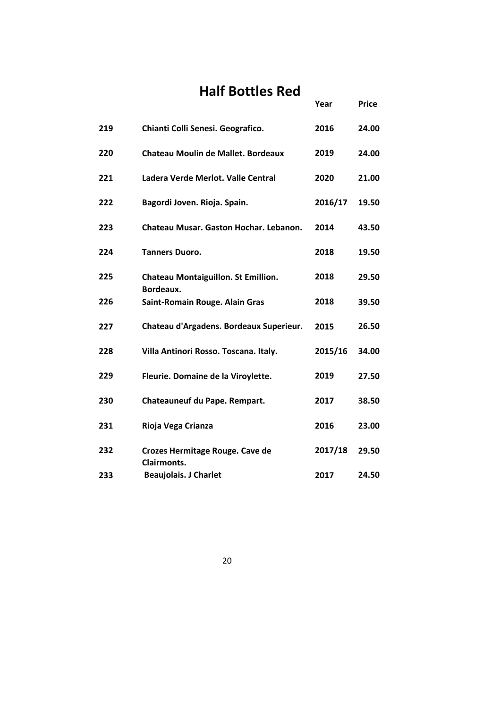### **Half Bottles Red**

|     |                                                         | Year    | <b>Price</b> |
|-----|---------------------------------------------------------|---------|--------------|
| 219 | Chianti Colli Senesi. Geografico.                       | 2016    | 24.00        |
| 220 | Chateau Moulin de Mallet. Bordeaux                      | 2019    | 24.00        |
| 221 | Ladera Verde Merlot. Valle Central                      | 2020    | 21.00        |
| 222 | Bagordi Joven. Rioja. Spain.                            | 2016/17 | 19.50        |
| 223 | Chateau Musar, Gaston Hochar, Lebanon.                  | 2014    | 43.50        |
| 224 | <b>Tanners Duoro.</b>                                   | 2018    | 19.50        |
| 225 | <b>Chateau Montaiguillon. St Emillion.</b><br>Bordeaux. | 2018    | 29.50        |
| 226 | Saint-Romain Rouge. Alain Gras                          | 2018    | 39.50        |
| 227 | Chateau d'Argadens. Bordeaux Superieur.                 | 2015    | 26.50        |
| 228 | Villa Antinori Rosso. Toscana. Italy.                   | 2015/16 | 34.00        |
| 229 | Fleurie. Domaine de la Viroylette.                      | 2019    | 27.50        |
| 230 | Chateauneuf du Pape. Rempart.                           | 2017    | 38.50        |
| 231 | Rioja Vega Crianza                                      | 2016    | 23.00        |
| 232 | Crozes Hermitage Rouge. Cave de<br><b>Clairmonts.</b>   | 2017/18 | 29.50        |
| 233 | <b>Beaujolais. J Charlet</b>                            | 2017    | 24.50        |

20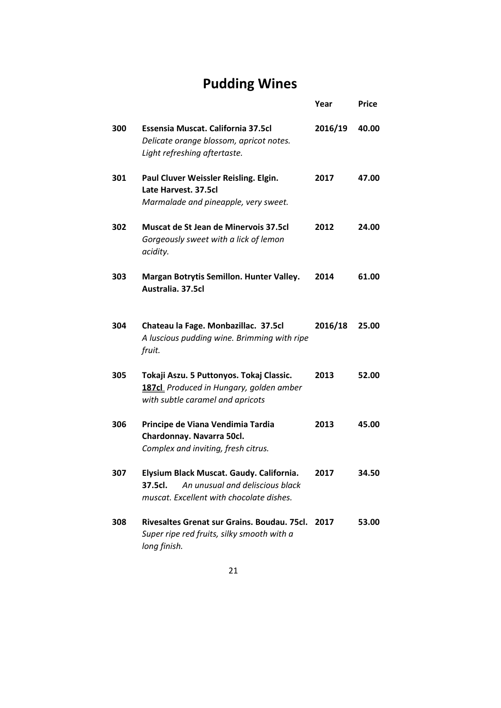## **Pudding Wines**

|     |                                                                                                                                    | Year    | <b>Price</b> |
|-----|------------------------------------------------------------------------------------------------------------------------------------|---------|--------------|
| 300 | Essensia Muscat. California 37.5cl<br>Delicate orange blossom, apricot notes.<br>Light refreshing aftertaste.                      | 2016/19 | 40.00        |
| 301 | Paul Cluver Weissler Reisling. Elgin.<br>Late Harvest. 37.5cl<br>Marmalade and pineapple, very sweet.                              | 2017    | 47.00        |
| 302 | Muscat de St Jean de Minervois 37.5cl<br>Gorgeously sweet with a lick of lemon<br>acidity.                                         | 2012    | 24.00        |
| 303 | Margan Botrytis Semillon. Hunter Valley.<br>Australia, 37.5cl                                                                      | 2014    | 61.00        |
| 304 | Chateau la Fage. Monbazillac. 37.5cl<br>A luscious pudding wine. Brimming with ripe<br>fruit.                                      | 2016/18 | 25.00        |
| 305 | Tokaji Aszu. 5 Puttonyos. Tokaj Classic.<br>187cl Produced in Hungary, golden amber<br>with subtle caramel and apricots            | 2013    | 52.00        |
| 306 | Principe de Viana Vendimia Tardia<br>Chardonnay. Navarra 50cl.<br>Complex and inviting, fresh citrus.                              | 2013    | 45.00        |
| 307 | Elysium Black Muscat. Gaudy. California.<br>An unusual and deliscious black<br>37.5cl.<br>muscat. Excellent with chocolate dishes. | 2017    | 34.50        |
| 308 | Rivesaltes Grenat sur Grains. Boudau. 75cl.<br>Super ripe red fruits, silky smooth with a<br>long finish.                          | 2017    | 53.00        |

21